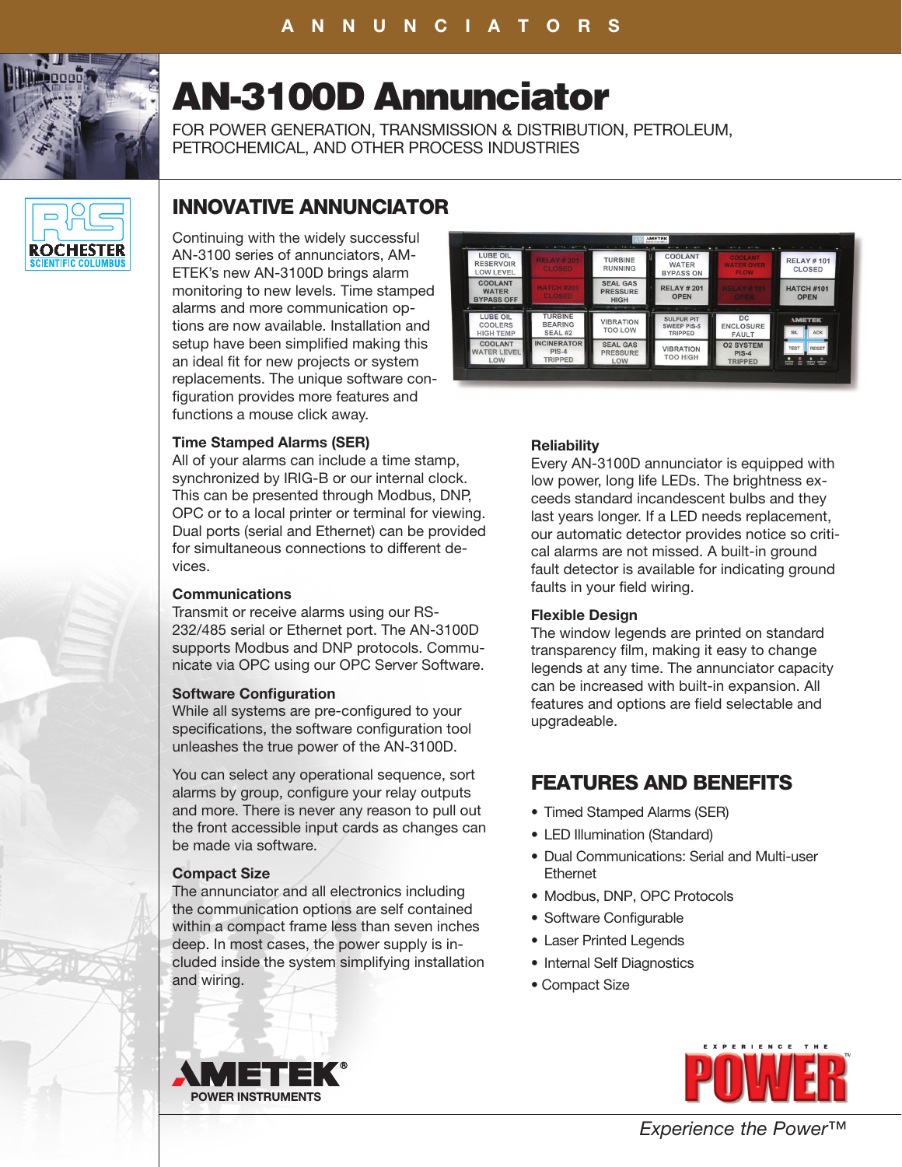

# AN-3100D Annunciator

FOR POWER GENERATION, TRANSMISSION & DISTRIBUTION, PETROLEUM, PETROCHEMICAL, AND OTHER PROCESS INDUSTRIES



# INNOVATIVE ANNUNCIATOR

Continuing with the widely successful AN-3100 series of annunciators, AM-ETEK's new AN-3100D brings alarm monitoring to new levels. Time stamped alarms and more communication options are now available. Installation and setup have been simplified making this an ideal fit for new projects or system replacements. The unique software configuration provides more features and functions a mouse click away.

# **Time Stamped Alarms (SER)**

All of your alarms can include a time stamp, synchronized by IRIG-B or our internal clock. This can be presented through Modbus, DNP, OPC or to a local printer or terminal for viewing. Dual ports (serial and Ethernet) can be provided for simultaneous connections to different devices.

### **Communications**

Transmit or receive alarms using our RS-232/485 serial or Ethernet port. The AN-3100D supports Modbus and DNP protocols. Communicate via OPC using our OPC Server Software.

#### **Software Configuration**

While all systems are pre-configured to your specifications, the software configuration tool unleashes the true power of the AN-3100D.

You can select any operational sequence, sort alarms by group, configure your relay outputs and more. There is never any reason to pull out the front accessible input cards as changes can be made via software.

### **Compact Size**

The annunciator and all electronics including the communication options are self contained within a compact frame less than seven inches deep. In most cases, the power supply is included inside the system simplifying installation and wiring.



# **Reliability**

Every AN-3100D annunciator is equipped with low power, long life LEDs. The brightness exceeds standard incandescent bulbs and they last years longer. If a LED needs replacement, our automatic detector provides notice so critical alarms are not missed. A built-in ground fault detector is available for indicating ground faults in your field wiring.

### **Flexible Design**

The window legends are printed on standard transparency film, making it easy to change legends at any time. The annunciator capacity can be increased with built-in expansion. All features and options are field selectable and upgradeable.

# FEATURES AND BENEFITS

- Timed Stamped Alarms (SER)
- LED Illumination (Standard)
- Dual Communications: Serial and Multi-user Ethernet
- Modbus, DNP, OPC Protocols
- Software Configurable
- Laser Printed Legends
- Internal Self Diagnostics
- Compact Size



*Experience the Power™*